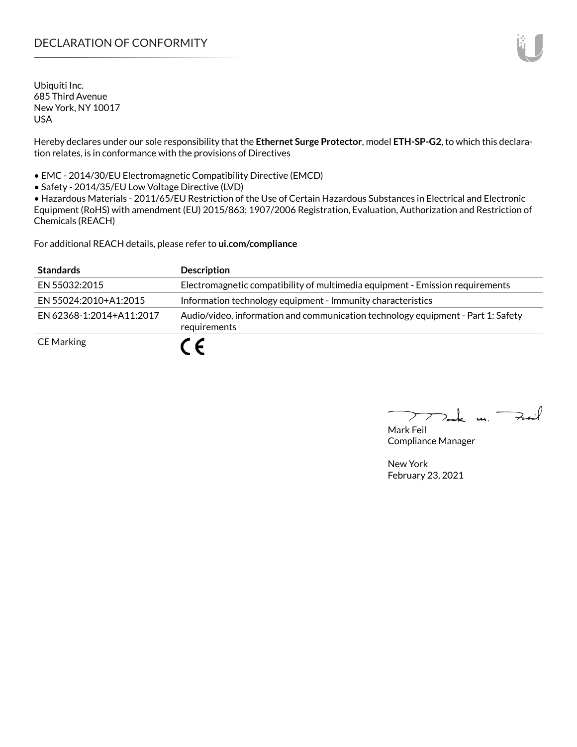# DECLARATION OF CONFORMITY

Ubiquiti Inc. 685 Third Avenue New York, NY 10017 USA

Hereby declares under our sole responsibility that the **Ethernet Surge Protector**, model **ETH-SP-G2**, to which this declaration relates, is in conformance with the provisions of Directives

• EMC - 2014/30/EU Electromagnetic Compatibility Directive (EMCD)

• Safety - 2014/35/EU Low Voltage Directive (LVD)

• Hazardous Materials - 2011/65/EU Restriction of the Use of Certain Hazardous Substances in Electrical and Electronic Equipment (RoHS) with amendment (EU) 2015/863; 1907/2006 Registration, Evaluation, Authorization and Restriction of Chemicals (REACH)

For additional REACH details, please refer to **<ui.com/compliance>**

| <b>Standards</b>         | <b>Description</b>                                                                               |
|--------------------------|--------------------------------------------------------------------------------------------------|
| EN 55032:2015            | Electromagnetic compatibility of multimedia equipment - Emission requirements                    |
| EN 55024:2010+A1:2015    | Information technology equipment - Immunity characteristics                                      |
| FN 62368-1:2014+A11:2017 | Audio/video, information and communication technology equipment - Part 1: Safety<br>requirements |
| <b>CE Marking</b>        | C E                                                                                              |

Tak m. Fail  $\sum$ 

Mark Feil Compliance Manager

New York February 23, 2021